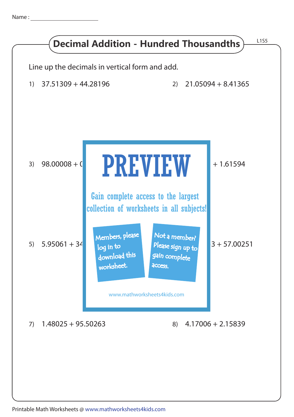